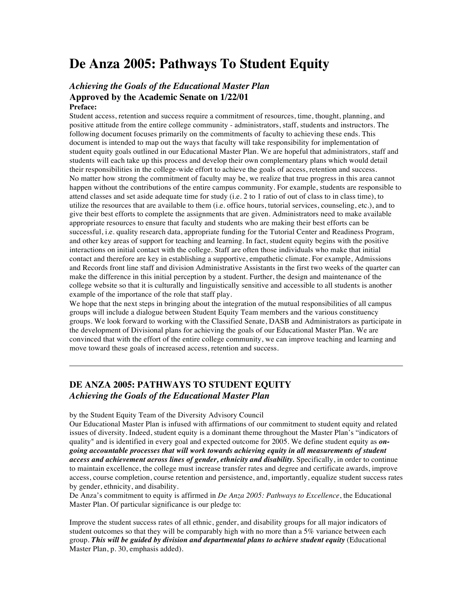# **De Anza 2005: Pathways To Student Equity**

# *Achieving the Goals of the Educational Master Plan* **Approved by the Academic Senate on 1/22/01**

#### **Preface:**

Student access, retention and success require a commitment of resources, time, thought, planning, and positive attitude from the entire college community - administrators, staff, students and instructors. The following document focuses primarily on the commitments of faculty to achieving these ends. This document is intended to map out the ways that faculty will take responsibility for implementation of student equity goals outlined in our Educational Master Plan. We are hopeful that administrators, staff and students will each take up this process and develop their own complementary plans which would detail their responsibilities in the college-wide effort to achieve the goals of access, retention and success. No matter how strong the commitment of faculty may be, we realize that true progress in this area cannot happen without the contributions of the entire campus community. For example, students are responsible to attend classes and set aside adequate time for study (i.e. 2 to 1 ratio of out of class to in class time), to utilize the resources that are available to them (i.e. office hours, tutorial services, counseling, etc.), and to give their best efforts to complete the assignments that are given. Administrators need to make available appropriate resources to ensure that faculty and students who are making their best efforts can be successful, i.e. quality research data, appropriate funding for the Tutorial Center and Readiness Program, and other key areas of support for teaching and learning. In fact, student equity begins with the positive interactions on initial contact with the college. Staff are often those individuals who make that initial contact and therefore are key in establishing a supportive, empathetic climate. For example, Admissions and Records front line staff and division Administrative Assistants in the first two weeks of the quarter can make the difference in this initial perception by a student. Further, the design and maintenance of the college website so that it is culturally and linguistically sensitive and accessible to all students is another example of the importance of the role that staff play.

We hope that the next steps in bringing about the integration of the mutual responsibilities of all campus groups will include a dialogue between Student Equity Team members and the various constituency groups. We look forward to working with the Classified Senate, DASB and Administrators as participate in the development of Divisional plans for achieving the goals of our Educational Master Plan. We are convinced that with the effort of the entire college community, we can improve teaching and learning and move toward these goals of increased access, retention and success.

# **DE ANZA 2005: PATHWAYS TO STUDENT EQUITY**  *Achieving the Goals of the Educational Master Plan*

by the Student Equity Team of the Diversity Advisory Council

Our Educational Master Plan is infused with affirmations of our commitment to student equity and related issues of diversity. Indeed, student equity is a dominant theme throughout the Master Plan's "indicators of quality" and is identified in every goal and expected outcome for 2005. We define student equity as *ongoing accountable processes that will work towards achieving equity in all measurements of student access and achievement across lines of gender, ethnicity and disability.* Specifically, in order to continue to maintain excellence, the college must increase transfer rates and degree and certificate awards, improve access, course completion, course retention and persistence, and, importantly, equalize student success rates by gender, ethnicity, and disability.

De Anza's commitment to equity is affirmed in *De Anza 2005: Pathways to Excellence*, the Educational Master Plan. Of particular significance is our pledge to:

Improve the student success rates of all ethnic, gender, and disability groups for all major indicators of student outcomes so that they will be comparably high with no more than a 5% variance between each group. *This will be guided by division and departmental plans to achieve student equity* (Educational Master Plan, p. 30, emphasis added).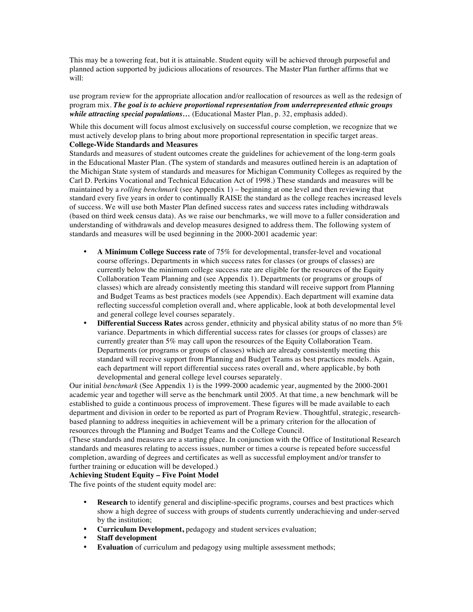This may be a towering feat, but it is attainable. Student equity will be achieved through purposeful and planned action supported by judicious allocations of resources. The Master Plan further affirms that we will:

use program review for the appropriate allocation and/or reallocation of resources as well as the redesign of program mix. *The goal is to achieve proportional representation from underrepresented ethnic groups while attracting special populations…* (Educational Master Plan, p. 32, emphasis added).

While this document will focus almost exclusively on successful course completion, we recognize that we must actively develop plans to bring about more proportional representation in specific target areas.

#### **College-Wide Standards and Measures**

Standards and measures of student outcomes create the guidelines for achievement of the long-term goals in the Educational Master Plan. (The system of standards and measures outlined herein is an adaptation of the Michigan State system of standards and measures for Michigan Community Colleges as required by the Carl D. Perkins Vocational and Technical Education Act of 1998.) These standards and measures will be maintained by a *rolling benchmark* (see Appendix 1) – beginning at one level and then reviewing that standard every five years in order to continually RAISE the standard as the college reaches increased levels of success. We will use both Master Plan defined success rates and success rates including withdrawals (based on third week census data). As we raise our benchmarks, we will move to a fuller consideration and understanding of withdrawals and develop measures designed to address them. The following system of standards and measures will be used beginning in the 2000-2001 academic year:

- **A Minimum College Success rate** of 75% for developmental, transfer-level and vocational course offerings. Departments in which success rates for classes (or groups of classes) are currently below the minimum college success rate are eligible for the resources of the Equity Collaboration Team Planning and (see Appendix 1). Departments (or programs or groups of classes) which are already consistently meeting this standard will receive support from Planning and Budget Teams as best practices models (see Appendix). Each department will examine data reflecting successful completion overall and, where applicable, look at both developmental level and general college level courses separately.
- **Differential Success Rates** across gender, ethnicity and physical ability status of no more than 5% variance. Departments in which differential success rates for classes (or groups of classes) are currently greater than 5% may call upon the resources of the Equity Collaboration Team. Departments (or programs or groups of classes) which are already consistently meeting this standard will receive support from Planning and Budget Teams as best practices models. Again, each department will report differential success rates overall and, where applicable, by both developmental and general college level courses separately.

Our initial *benchmark* (See Appendix 1) is the 1999-2000 academic year, augmented by the 2000-2001 academic year and together will serve as the benchmark until 2005. At that time, a new benchmark will be established to guide a continuous process of improvement. These figures will be made available to each department and division in order to be reported as part of Program Review. Thoughtful, strategic, researchbased planning to address inequities in achievement will be a primary criterion for the allocation of resources through the Planning and Budget Teams and the College Council.

(These standards and measures are a starting place. In conjunction with the Office of Institutional Research standards and measures relating to access issues, number or times a course is repeated before successful completion, awarding of degrees and certificates as well as successful employment and/or transfer to further training or education will be developed.)

#### **Achieving Student Equity – Five Point Model**

The five points of the student equity model are:

- **Research** to identify general and discipline-specific programs, courses and best practices which show a high degree of success with groups of students currently underachieving and under-served by the institution;
- **Curriculum Development,** pedagogy and student services evaluation;
- **Staff development**
- **Evaluation** of curriculum and pedagogy using multiple assessment methods;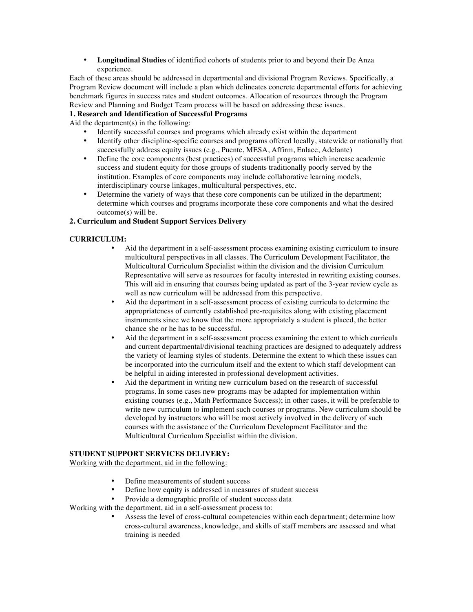• **Longitudinal Studies** of identified cohorts of students prior to and beyond their De Anza experience.

Each of these areas should be addressed in departmental and divisional Program Reviews. Specifically, a Program Review document will include a plan which delineates concrete departmental efforts for achieving benchmark figures in success rates and student outcomes. Allocation of resources through the Program Review and Planning and Budget Team process will be based on addressing these issues.

#### **1. Research and Identification of Successful Programs**

Aid the department(s) in the following:

- Identify successful courses and programs which already exist within the department
- Identify other discipline-specific courses and programs offered locally, statewide or nationally that successfully address equity issues (e.g., Puente, MESA, Affirm, Enlace, Adelante)
- Define the core components (best practices) of successful programs which increase academic success and student equity for those groups of students traditionally poorly served by the institution. Examples of core components may include collaborative learning models, interdisciplinary course linkages, multicultural perspectives, etc.
- Determine the variety of ways that these core components can be utilized in the department; determine which courses and programs incorporate these core components and what the desired outcome(s) will be.

## **2. Curriculum and Student Support Services Delivery**

#### **CURRICULUM:**

- Aid the department in a self-assessment process examining existing curriculum to insure multicultural perspectives in all classes. The Curriculum Development Facilitator, the Multicultural Curriculum Specialist within the division and the division Curriculum Representative will serve as resources for faculty interested in rewriting existing courses. This will aid in ensuring that courses being updated as part of the 3-year review cycle as well as new curriculum will be addressed from this perspective.
- Aid the department in a self-assessment process of existing curricula to determine the appropriateness of currently established pre-requisites along with existing placement instruments since we know that the more appropriately a student is placed, the better chance she or he has to be successful.
- Aid the department in a self-assessment process examining the extent to which curricula and current departmental/divisional teaching practices are designed to adequately address the variety of learning styles of students. Determine the extent to which these issues can be incorporated into the curriculum itself and the extent to which staff development can be helpful in aiding interested in professional development activities.
- Aid the department in writing new curriculum based on the research of successful programs. In some cases new programs may be adapted for implementation within existing courses (e.g., Math Performance Success); in other cases, it will be preferable to write new curriculum to implement such courses or programs. New curriculum should be developed by instructors who will be most actively involved in the delivery of such courses with the assistance of the Curriculum Development Facilitator and the Multicultural Curriculum Specialist within the division.

#### **STUDENT SUPPORT SERVICES DELIVERY:**

Working with the department, aid in the following:

- Define measurements of student success
- Define how equity is addressed in measures of student success
- Provide a demographic profile of student success data

# Working with the department, aid in a self-assessment process to:

Assess the level of cross-cultural competencies within each department; determine how cross-cultural awareness, knowledge, and skills of staff members are assessed and what training is needed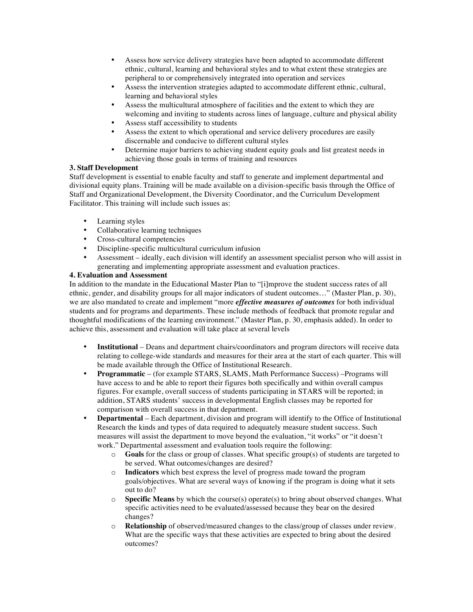- Assess how service delivery strategies have been adapted to accommodate different ethnic, cultural, learning and behavioral styles and to what extent these strategies are peripheral to or comprehensively integrated into operation and services
- Assess the intervention strategies adapted to accommodate different ethnic, cultural, learning and behavioral styles
- Assess the multicultural atmosphere of facilities and the extent to which they are welcoming and inviting to students across lines of language, culture and physical ability
- Assess staff accessibility to students
- Assess the extent to which operational and service delivery procedures are easily discernable and conducive to different cultural styles
- Determine major barriers to achieving student equity goals and list greatest needs in achieving those goals in terms of training and resources

#### **3. Staff Development**

Staff development is essential to enable faculty and staff to generate and implement departmental and divisional equity plans. Training will be made available on a division-specific basis through the Office of Staff and Organizational Development, the Diversity Coordinator, and the Curriculum Development Facilitator. This training will include such issues as:

- Learning styles
- Collaborative learning techniques
- Cross-cultural competencies
- Discipline-specific multicultural curriculum infusion
- Assessment ideally, each division will identify an assessment specialist person who will assist in generating and implementing appropriate assessment and evaluation practices.

#### **4. Evaluation and Assessment**

In addition to the mandate in the Educational Master Plan to "[i]mprove the student success rates of all ethnic, gender, and disability groups for all major indicators of student outcomes…" (Master Plan, p. 30), we are also mandated to create and implement "more *effective measures of outcomes* for both individual students and for programs and departments. These include methods of feedback that promote regular and thoughtful modifications of the learning environment." (Master Plan, p. 30, emphasis added). In order to achieve this, assessment and evaluation will take place at several levels

- **Institutional** Deans and department chairs/coordinators and program directors will receive data relating to college-wide standards and measures for their area at the start of each quarter. This will be made available through the Office of Institutional Research.
- **Programmatic**  (for example STARS, SLAMS, Math Performance Success) –Programs will have access to and be able to report their figures both specifically and within overall campus figures. For example, overall success of students participating in STARS will be reported; in addition, STARS students' success in developmental English classes may be reported for comparison with overall success in that department.
- **Departmental** Each department, division and program will identify to the Office of Institutional Research the kinds and types of data required to adequately measure student success. Such measures will assist the department to move beyond the evaluation, "it works" or "it doesn't work." Departmental assessment and evaluation tools require the following:
	- o **Goals** for the class or group of classes. What specific group(s) of students are targeted to be served. What outcomes/changes are desired?
	- o **Indicators** which best express the level of progress made toward the program goals/objectives. What are several ways of knowing if the program is doing what it sets out to do?
	- o **Specific Means** by which the course(s) operate(s) to bring about observed changes. What specific activities need to be evaluated/assessed because they bear on the desired changes?
	- o **Relationship** of observed/measured changes to the class/group of classes under review. What are the specific ways that these activities are expected to bring about the desired outcomes?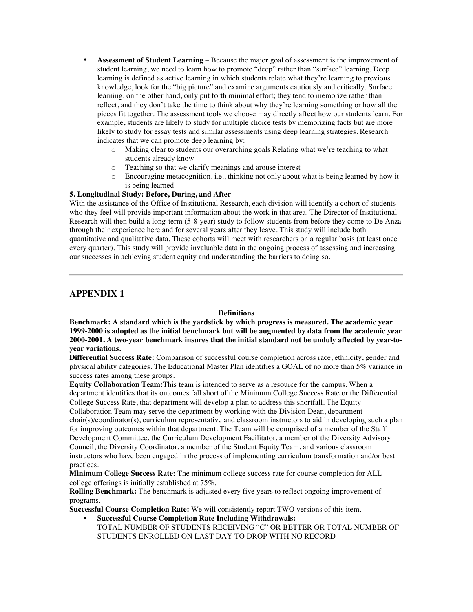- **Assessment of Student Learning** Because the major goal of assessment is the improvement of student learning, we need to learn how to promote "deep" rather than "surface" learning. Deep learning is defined as active learning in which students relate what they're learning to previous knowledge, look for the "big picture" and examine arguments cautiously and critically. Surface learning, on the other hand, only put forth minimal effort; they tend to memorize rather than reflect, and they don't take the time to think about why they're learning something or how all the pieces fit together. The assessment tools we choose may directly affect how our students learn. For example, students are likely to study for multiple choice tests by memorizing facts but are more likely to study for essay tests and similar assessments using deep learning strategies. Research indicates that we can promote deep learning by:
	- o Making clear to students our overarching goals Relating what we're teaching to what students already know
	- o Teaching so that we clarify meanings and arouse interest
	- o Encouraging metacognition, i.e., thinking not only about what is being learned by how it is being learned

## **5. Longitudinal Study: Before, During, and After**

With the assistance of the Office of Institutional Research, each division will identify a cohort of students who they feel will provide important information about the work in that area. The Director of Institutional Research will then build a long-term (5-8-year) study to follow students from before they come to De Anza through their experience here and for several years after they leave. This study will include both quantitative and qualitative data. These cohorts will meet with researchers on a regular basis (at least once every quarter). This study will provide invaluable data in the ongoing process of assessing and increasing our successes in achieving student equity and understanding the barriers to doing so.

# **APPENDIX 1**

#### **Definitions**

**Benchmark: A standard which is the yardstick by which progress is measured. The academic year 1999-2000 is adopted as the initial benchmark but will be augmented by data from the academic year 2000-2001. A two-year benchmark insures that the initial standard not be unduly affected by year-toyear variations.** 

**Differential Success Rate:** Comparison of successful course completion across race, ethnicity, gender and physical ability categories. The Educational Master Plan identifies a GOAL of no more than 5% variance in success rates among these groups.

**Equity Collaboration Team:**This team is intended to serve as a resource for the campus. When a department identifies that its outcomes fall short of the Minimum College Success Rate or the Differential College Success Rate, that department will develop a plan to address this shortfall. The Equity Collaboration Team may serve the department by working with the Division Dean, department chair(s)/coordinator(s), curriculum representative and classroom instructors to aid in developing such a plan for improving outcomes within that department. The Team will be comprised of a member of the Staff Development Committee, the Curriculum Development Facilitator, a member of the Diversity Advisory Council, the Diversity Coordinator, a member of the Student Equity Team, and various classroom instructors who have been engaged in the process of implementing curriculum transformation and/or best practices.

**Minimum College Success Rate:** The minimum college success rate for course completion for ALL college offerings is initially established at 75%.

**Rolling Benchmark:** The benchmark is adjusted every five years to reflect ongoing improvement of programs.

**Successful Course Completion Rate:** We will consistently report TWO versions of this item.

- **Successful Course Completion Rate Including Withdrawals:** 
	- TOTAL NUMBER OF STUDENTS RECEIVING "C" OR BETTER OR TOTAL NUMBER OF STUDENTS ENROLLED ON LAST DAY TO DROP WITH NO RECORD